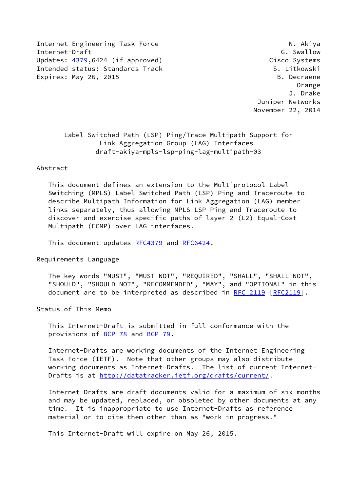Internet Engineering Task Force N. Akiya Internet-Draft G. Swallow Updates: [4379](https://datatracker.ietf.org/doc/pdf/rfc4379),6424 (if approved) Cisco Systems Intended status: Standards Track S. Litkowski Expires: May 26, 2015 B. Decraene

 Orange J. Drake Juniper Networks November 22, 2014

# Label Switched Path (LSP) Ping/Trace Multipath Support for Link Aggregation Group (LAG) Interfaces draft-akiya-mpls-lsp-ping-lag-multipath-03

### Abstract

 This document defines an extension to the Multiprotocol Label Switching (MPLS) Label Switched Path (LSP) Ping and Traceroute to describe Multipath Information for Link Aggregation (LAG) member links separately, thus allowing MPLS LSP Ping and Traceroute to discover and exercise specific paths of layer 2 (L2) Equal-Cost Multipath (ECMP) over LAG interfaces.

This document updates [RFC4379](https://datatracker.ietf.org/doc/pdf/rfc4379) and [RFC6424](https://datatracker.ietf.org/doc/pdf/rfc6424).

Requirements Language

 The key words "MUST", "MUST NOT", "REQUIRED", "SHALL", "SHALL NOT", "SHOULD", "SHOULD NOT", "RECOMMENDED", "MAY", and "OPTIONAL" in this document are to be interpreted as described in [RFC 2119 \[RFC2119](https://datatracker.ietf.org/doc/pdf/rfc2119)].

Status of This Memo

 This Internet-Draft is submitted in full conformance with the provisions of [BCP 78](https://datatracker.ietf.org/doc/pdf/bcp78) and [BCP 79](https://datatracker.ietf.org/doc/pdf/bcp79).

 Internet-Drafts are working documents of the Internet Engineering Task Force (IETF). Note that other groups may also distribute working documents as Internet-Drafts. The list of current Internet Drafts is at<http://datatracker.ietf.org/drafts/current/>.

 Internet-Drafts are draft documents valid for a maximum of six months and may be updated, replaced, or obsoleted by other documents at any time. It is inappropriate to use Internet-Drafts as reference material or to cite them other than as "work in progress."

This Internet-Draft will expire on May 26, 2015.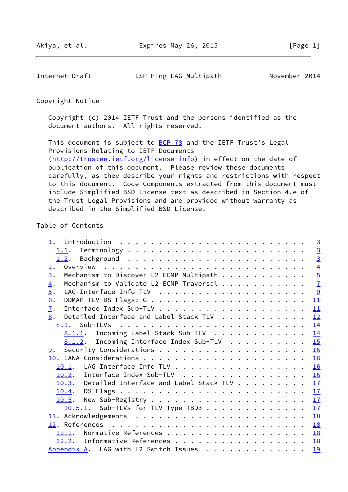Internet-Draft LSP Ping LAG Multipath November 2014

Copyright Notice

 Copyright (c) 2014 IETF Trust and the persons identified as the document authors. All rights reserved.

This document is subject to **[BCP 78](https://datatracker.ietf.org/doc/pdf/bcp78)** and the IETF Trust's Legal Provisions Relating to IETF Documents [\(http://trustee.ietf.org/license-info](http://trustee.ietf.org/license-info)) in effect on the date of publication of this document. Please review these documents carefully, as they describe your rights and restrictions with respect to this document. Code Components extracted from this document must include Simplified BSD License text as described in Section 4.e of the Trust Legal Provisions and are provided without warranty as described in the Simplified BSD License.

## Table of Contents

| Mechanism to Discover L2 ECMP Multipath | $\overline{3}$<br>$\overline{3}$<br>$\overline{4}$                                                                                                                                                                                                                                                                                                                                                                                         |
|-----------------------------------------|--------------------------------------------------------------------------------------------------------------------------------------------------------------------------------------------------------------------------------------------------------------------------------------------------------------------------------------------------------------------------------------------------------------------------------------------|
|                                         |                                                                                                                                                                                                                                                                                                                                                                                                                                            |
|                                         |                                                                                                                                                                                                                                                                                                                                                                                                                                            |
|                                         |                                                                                                                                                                                                                                                                                                                                                                                                                                            |
|                                         | $\overline{5}$                                                                                                                                                                                                                                                                                                                                                                                                                             |
|                                         | $\overline{1}$                                                                                                                                                                                                                                                                                                                                                                                                                             |
|                                         |                                                                                                                                                                                                                                                                                                                                                                                                                                            |
|                                         | 11                                                                                                                                                                                                                                                                                                                                                                                                                                         |
|                                         | 11                                                                                                                                                                                                                                                                                                                                                                                                                                         |
|                                         | 12                                                                                                                                                                                                                                                                                                                                                                                                                                         |
|                                         | 14                                                                                                                                                                                                                                                                                                                                                                                                                                         |
|                                         | 14                                                                                                                                                                                                                                                                                                                                                                                                                                         |
|                                         |                                                                                                                                                                                                                                                                                                                                                                                                                                            |
|                                         |                                                                                                                                                                                                                                                                                                                                                                                                                                            |
|                                         | 16                                                                                                                                                                                                                                                                                                                                                                                                                                         |
|                                         |                                                                                                                                                                                                                                                                                                                                                                                                                                            |
|                                         | 16                                                                                                                                                                                                                                                                                                                                                                                                                                         |
|                                         | 17                                                                                                                                                                                                                                                                                                                                                                                                                                         |
|                                         | 17                                                                                                                                                                                                                                                                                                                                                                                                                                         |
|                                         | 17                                                                                                                                                                                                                                                                                                                                                                                                                                         |
|                                         | 17                                                                                                                                                                                                                                                                                                                                                                                                                                         |
|                                         | <b>18</b>                                                                                                                                                                                                                                                                                                                                                                                                                                  |
|                                         |                                                                                                                                                                                                                                                                                                                                                                                                                                            |
|                                         | 18                                                                                                                                                                                                                                                                                                                                                                                                                                         |
|                                         | 18                                                                                                                                                                                                                                                                                                                                                                                                                                         |
|                                         | 19                                                                                                                                                                                                                                                                                                                                                                                                                                         |
|                                         | Mechanism to Validate L2 ECMP Traversal<br>Detailed Interface and Label Stack TLV<br>8.1.1. Incoming Label Stack Sub-TLV<br>8.1.2. Incoming Interface Index Sub-TLV 15<br>10.1. LAG Interface Info TLV 16<br>10.2. Interface Index Sub-TLV<br>10.3. Detailed Interface and Label Stack TLV<br>$10.5.1$ . Sub-TLVs for TLV Type TBD3<br>12.1. Normative References<br>12.2. Informative References<br>Appendix A. LAG with L2 Switch Issues |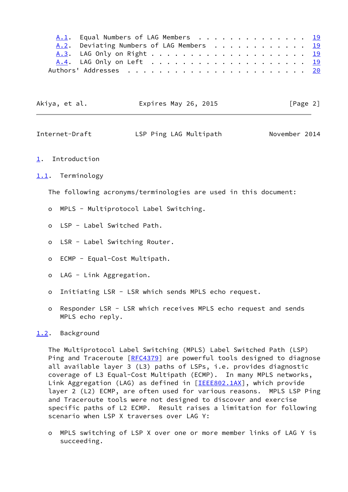| A.1. Equal Numbers of LAG Members 19     |  |  |  |  |  |  |  |  |  |  |
|------------------------------------------|--|--|--|--|--|--|--|--|--|--|
| A.2. Deviating Numbers of LAG Members 19 |  |  |  |  |  |  |  |  |  |  |
|                                          |  |  |  |  |  |  |  |  |  |  |
|                                          |  |  |  |  |  |  |  |  |  |  |
|                                          |  |  |  |  |  |  |  |  |  |  |

| Akiya, et al. | Expires May 26, 2015 | [Page 2] |
|---------------|----------------------|----------|
|---------------|----------------------|----------|

<span id="page-2-1"></span>

| Internet-Draft | LSP Ping LAG Multipath | November 2014 |
|----------------|------------------------|---------------|
|----------------|------------------------|---------------|

<span id="page-2-0"></span>[1](#page-2-0). Introduction

<span id="page-2-2"></span>[1.1](#page-2-2). Terminology

The following acronyms/terminologies are used in this document:

- o MPLS Multiprotocol Label Switching.
- o LSP Label Switched Path.
- o LSR Label Switching Router.
- o ECMP Equal-Cost Multipath.
- o LAG Link Aggregation.
- o Initiating LSR LSR which sends MPLS echo request.
- o Responder LSR LSR which receives MPLS echo request and sends MPLS echo reply.

### <span id="page-2-3"></span>[1.2](#page-2-3). Background

 The Multiprotocol Label Switching (MPLS) Label Switched Path (LSP) Ping and Traceroute [\[RFC4379](https://datatracker.ietf.org/doc/pdf/rfc4379)] are powerful tools designed to diagnose all available layer 3 (L3) paths of LSPs, i.e. provides diagnostic coverage of L3 Equal-Cost Multipath (ECMP). In many MPLS networks, Link Aggregation (LAG) as defined in [\[IEEE802.1AX](#page-20-4)], which provide layer 2 (L2) ECMP, are often used for various reasons. MPLS LSP Ping and Traceroute tools were not designed to discover and exercise specific paths of L2 ECMP. Result raises a limitation for following scenario when LSP X traverses over LAG Y:

 o MPLS switching of LSP X over one or more member links of LAG Y is succeeding.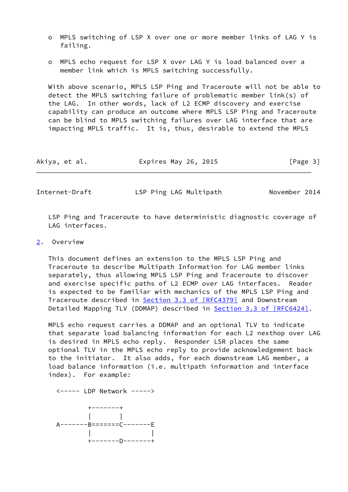- o MPLS switching of LSP X over one or more member links of LAG Y is failing.
- o MPLS echo request for LSP X over LAG Y is load balanced over a member link which is MPLS switching successfully.

 With above scenario, MPLS LSP Ping and Traceroute will not be able to detect the MPLS switching failure of problematic member link(s) of the LAG. In other words, lack of L2 ECMP discovery and exercise capability can produce an outcome where MPLS LSP Ping and Traceroute can be blind to MPLS switching failures over LAG interface that are impacting MPLS traffic. It is, thus, desirable to extend the MPLS

| Akiya, et al. | Expires May 26, 2015 | [Page 3] |
|---------------|----------------------|----------|
|---------------|----------------------|----------|

<span id="page-3-1"></span>Internet-Draft LSP Ping LAG Multipath November 2014

 LSP Ping and Traceroute to have deterministic diagnostic coverage of LAG interfaces.

### <span id="page-3-0"></span>[2](#page-3-0). Overview

 This document defines an extension to the MPLS LSP Ping and Traceroute to describe Multipath Information for LAG member links separately, thus allowing MPLS LSP Ping and Traceroute to discover and exercise specific paths of L2 ECMP over LAG interfaces. Reader is expected to be familiar with mechanics of the MPLS LSP Ping and Traceroute described in Section [3.3 of \[RFC4379\]](https://datatracker.ietf.org/doc/pdf/rfc4379#section-3.3) and Downstream Detailed Mapping TLV (DDMAP) described in Section [3.3 of \[RFC6424\]](https://datatracker.ietf.org/doc/pdf/rfc6424#section-3.3).

 MPLS echo request carries a DDMAP and an optional TLV to indicate that separate load balancing information for each L2 nexthop over LAG is desired in MPLS echo reply. Responder LSR places the same optional TLV in the MPLS echo reply to provide acknowledgement back to the initiator. It also adds, for each downstream LAG member, a load balance information (i.e. multipath information and interface index). For example:



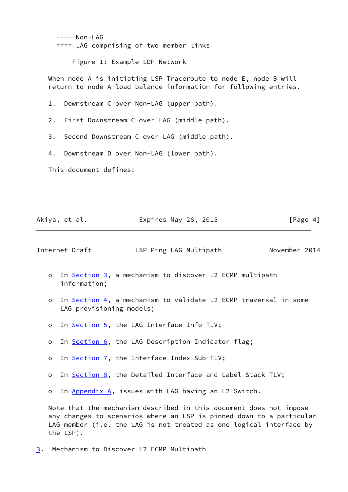$---$  Non-LAG ==== LAG comprising of two member links

Figure 1: Example LDP Network

When node A is initiating LSP Traceroute to node E, node B will return to node A load balance information for following entries.

1. Downstream C over Non-LAG (upper path).

2. First Downstream C over LAG (middle path).

3. Second Downstream C over LAG (middle path).

4. Downstream D over Non-LAG (lower path).

This document defines:

Akiya, et al. Expires May 26, 2015 [Page 4]

<span id="page-4-1"></span>Internet-Draft LSP Ping LAG Multipath November 2014

- o In [Section 3,](#page-4-0) a mechanism to discover L2 ECMP multipath information;
- o In [Section 4,](#page-7-0) a mechanism to validate L2 ECMP traversal in some LAG provisioning models;
- o In [Section 5,](#page-9-0) the LAG Interface Info TLV;
- o In [Section 6,](#page-11-0) the LAG Description Indicator flag;
- o In [Section 7,](#page-11-2) the Interface Index Sub-TLV;
- o In [Section 8,](#page-12-0) the Detailed Interface and Label Stack TLV;

o In [Appendix A,](#page-20-0) issues with LAG having an L2 Switch.

 Note that the mechanism described in this document does not impose any changes to scenarios where an LSP is pinned down to a particular LAG member (i.e. the LAG is not treated as one logical interface by the LSP).

<span id="page-4-0"></span>[3](#page-4-0). Mechanism to Discover L2 ECMP Multipath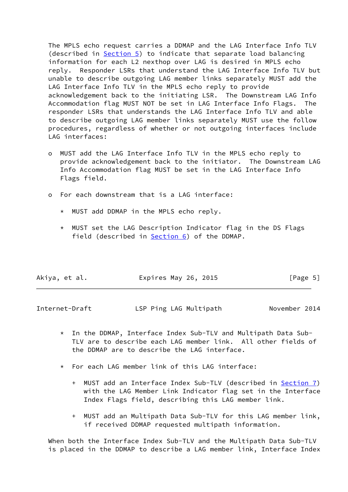The MPLS echo request carries a DDMAP and the LAG Interface Info TLV (described in [Section 5\)](#page-9-0) to indicate that separate load balancing information for each L2 nexthop over LAG is desired in MPLS echo reply. Responder LSRs that understand the LAG Interface Info TLV but unable to describe outgoing LAG member links separately MUST add the LAG Interface Info TLV in the MPLS echo reply to provide acknowledgement back to the initiating LSR. The Downstream LAG Info Accommodation flag MUST NOT be set in LAG Interface Info Flags. The responder LSRs that understands the LAG Interface Info TLV and able to describe outgoing LAG member links separately MUST use the follow procedures, regardless of whether or not outgoing interfaces include LAG interfaces:

- o MUST add the LAG Interface Info TLV in the MPLS echo reply to provide acknowledgement back to the initiator. The Downstream LAG Info Accommodation flag MUST be set in the LAG Interface Info Flags field.
- o For each downstream that is a LAG interface:
	- \* MUST add DDMAP in the MPLS echo reply.
	- \* MUST set the LAG Description Indicator flag in the DS Flags field (described in  $Section 6$ ) of the DDMAP.

| Akiya, et al. | Expires May 26, 2015 | [Page 5] |
|---------------|----------------------|----------|
|---------------|----------------------|----------|

| Internet-Draft | LSP Ping LAG Multipath | November 2014 |
|----------------|------------------------|---------------|
|                |                        |               |

- \* In the DDMAP, Interface Index Sub-TLV and Multipath Data Sub- TLV are to describe each LAG member link. All other fields of the DDMAP are to describe the LAG interface.
- \* For each LAG member link of this LAG interface:
	- + MUST add an Interface Index Sub-TLV (described in [Section 7\)](#page-11-2) with the LAG Member Link Indicator flag set in the Interface Index Flags field, describing this LAG member link.
	- + MUST add an Multipath Data Sub-TLV for this LAG member link, if received DDMAP requested multipath information.

 When both the Interface Index Sub-TLV and the Multipath Data Sub-TLV is placed in the DDMAP to describe a LAG member link, Interface Index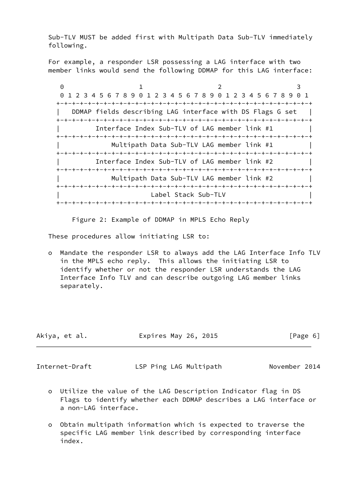Sub-TLV MUST be added first with Multipath Data Sub-TLV immediately following.

 For example, a responder LSR possessing a LAG interface with two member links would send the following DDMAP for this LAG interface:

 $0$  1 2 3 0 1 2 3 4 5 6 7 8 9 0 1 2 3 4 5 6 7 8 9 0 1 2 3 4 5 6 7 8 9 0 1 +-+-+-+-+-+-+-+-+-+-+-+-+-+-+-+-+-+-+-+-+-+-+-+-+-+-+-+-+-+-+-+-+ DDMAP fields describing LAG interface with DS Flags G set | +-+-+-+-+-+-+-+-+-+-+-+-+-+-+-+-+-+-+-+-+-+-+-+-+-+-+-+-+-+-+-+-+ Interface Index Sub-TLV of LAG member link #1 +-+-+-+-+-+-+-+-+-+-+-+-+-+-+-+-+-+-+-+-+-+-+-+-+-+-+-+-+-+-+-+-+ Multipath Data Sub-TLV LAG member link #1 +-+-+-+-+-+-+-+-+-+-+-+-+-+-+-+-+-+-+-+-+-+-+-+-+-+-+-+-+-+-+-+-+ | Interface Index Sub-TLV of LAG member link #2 | +-+-+-+-+-+-+-+-+-+-+-+-+-+-+-+-+-+-+-+-+-+-+-+-+-+-+-+-+-+-+-+-+ | Multipath Data Sub-TLV LAG member link #2 | +-+-+-+-+-+-+-+-+-+-+-+-+-+-+-+-+-+-+-+-+-+-+-+-+-+-+-+-+-+-+-+-+ Label Stack Sub-TLV +-+-+-+-+-+-+-+-+-+-+-+-+-+-+-+-+-+-+-+-+-+-+-+-+-+-+-+-+-+-+-+-+

Figure 2: Example of DDMAP in MPLS Echo Reply

These procedures allow initiating LSR to:

 o Mandate the responder LSR to always add the LAG Interface Info TLV in the MPLS echo reply. This allows the initiating LSR to identify whether or not the responder LSR understands the LAG Interface Info TLV and can describe outgoing LAG member links separately.

| Akiya, et al. | Expires May 26, 2015 | [Page 6] |
|---------------|----------------------|----------|
|               |                      |          |

<span id="page-6-0"></span>Internet-Draft LSP Ping LAG Multipath November 2014

- o Utilize the value of the LAG Description Indicator flag in DS Flags to identify whether each DDMAP describes a LAG interface or a non-LAG interface.
- o Obtain multipath information which is expected to traverse the specific LAG member link described by corresponding interface index.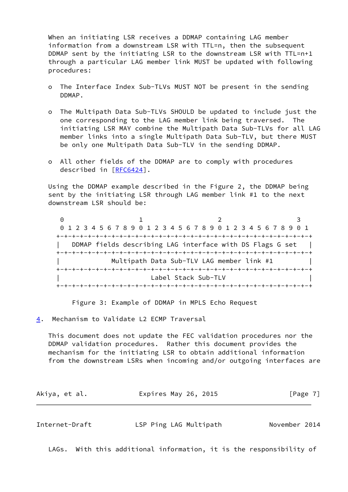When an initiating LSR receives a DDMAP containing LAG member information from a downstream LSR with TTL=n, then the subsequent DDMAP sent by the initiating LSR to the downstream LSR with TTL=n+1 through a particular LAG member link MUST be updated with following procedures:

- o The Interface Index Sub-TLVs MUST NOT be present in the sending DDMAP.
- o The Multipath Data Sub-TLVs SHOULD be updated to include just the one corresponding to the LAG member link being traversed. The initiating LSR MAY combine the Multipath Data Sub-TLVs for all LAG member links into a single Multipath Data Sub-TLV, but there MUST be only one Multipath Data Sub-TLV in the sending DDMAP.
- o All other fields of the DDMAP are to comply with procedures described in [\[RFC6424](https://datatracker.ietf.org/doc/pdf/rfc6424)].

 Using the DDMAP example described in the Figure 2, the DDMAP being sent by the initiating LSR through LAG member link #1 to the next downstream LSR should be:

0 1 2 3 0 1 2 3 4 5 6 7 8 9 0 1 2 3 4 5 6 7 8 9 0 1 2 3 4 5 6 7 8 9 0 1 +-+-+-+-+-+-+-+-+-+-+-+-+-+-+-+-+-+-+-+-+-+-+-+-+-+-+-+-+-+-+-+-+ DDMAP fields describing LAG interface with DS Flags G set +-+-+-+-+-+-+-+-+-+-+-+-+-+-+-+-+-+-+-+-+-+-+-+-+-+-+-+-+-+-+-+-+ Multipath Data Sub-TLV LAG member link #1 +-+-+-+-+-+-+-+-+-+-+-+-+-+-+-+-+-+-+-+-+-+-+-+-+-+-+-+-+-+-+-+-+ Label Stack Sub-TLV +-+-+-+-+-+-+-+-+-+-+-+-+-+-+-+-+-+-+-+-+-+-+-+-+-+-+-+-+-+-+-+-+

Figure 3: Example of DDMAP in MPLS Echo Request

<span id="page-7-0"></span>[4](#page-7-0). Mechanism to Validate L2 ECMP Traversal

 This document does not update the FEC validation procedures nor the DDMAP validation procedures. Rather this document provides the mechanism for the initiating LSR to obtain additional information from the downstream LSRs when incoming and/or outgoing interfaces are

| Akiya, et al. | Expires May 26, 2015 |  | [Page 7] |  |
|---------------|----------------------|--|----------|--|
|               |                      |  |          |  |

| Internet-Draft | LSP Ping LAG Multipath | November 2014 |  |
|----------------|------------------------|---------------|--|
|                |                        |               |  |

LAGs. With this additional information, it is the responsibility of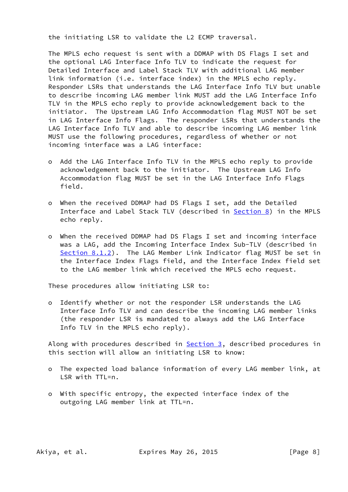the initiating LSR to validate the L2 ECMP traversal.

 The MPLS echo request is sent with a DDMAP with DS Flags I set and the optional LAG Interface Info TLV to indicate the request for Detailed Interface and Label Stack TLV with additional LAG member link information (i.e. interface index) in the MPLS echo reply. Responder LSRs that understands the LAG Interface Info TLV but unable to describe incoming LAG member link MUST add the LAG Interface Info TLV in the MPLS echo reply to provide acknowledgement back to the initiator. The Upstream LAG Info Accommodation flag MUST NOT be set in LAG Interface Info Flags. The responder LSRs that understands the LAG Interface Info TLV and able to describe incoming LAG member link MUST use the following procedures, regardless of whether or not incoming interface was a LAG interface:

- o Add the LAG Interface Info TLV in the MPLS echo reply to provide acknowledgement back to the initiator. The Upstream LAG Info Accommodation flag MUST be set in the LAG Interface Info Flags field.
- o When the received DDMAP had DS Flags I set, add the Detailed Interface and Label Stack TLV (described in [Section 8\)](#page-12-0) in the MPLS echo reply.
- o When the received DDMAP had DS Flags I set and incoming interface was a LAG, add the Incoming Interface Index Sub-TLV (described in [Section 8.1.2\)](#page-16-0). The LAG Member Link Indicator flag MUST be set in the Interface Index Flags field, and the Interface Index field set to the LAG member link which received the MPLS echo request.

These procedures allow initiating LSR to:

 o Identify whether or not the responder LSR understands the LAG Interface Info TLV and can describe the incoming LAG member links (the responder LSR is mandated to always add the LAG Interface Info TLV in the MPLS echo reply).

Along with procedures described in **Section 3**, described procedures in this section will allow an initiating LSR to know:

- o The expected load balance information of every LAG member link, at LSR with TTL=n.
- o With specific entropy, the expected interface index of the outgoing LAG member link at TTL=n.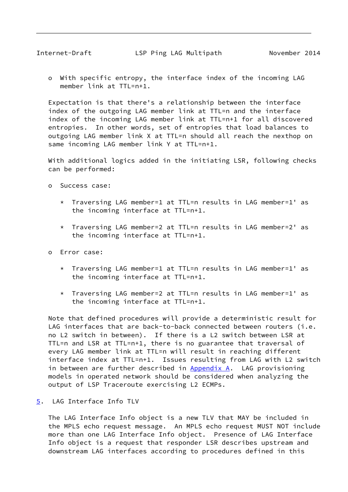<span id="page-9-1"></span> o With specific entropy, the interface index of the incoming LAG member link at TTL=n+1.

 Expectation is that there's a relationship between the interface index of the outgoing LAG member link at TTL=n and the interface index of the incoming LAG member link at TTL=n+1 for all discovered entropies. In other words, set of entropies that load balances to outgoing LAG member link X at TTL=n should all reach the nexthop on same incoming LAG member link Y at TTL=n+1.

 With additional logics added in the initiating LSR, following checks can be performed:

- o Success case:
	- \* Traversing LAG member=1 at TTL=n results in LAG member=1' as the incoming interface at TTL=n+1.
	- \* Traversing LAG member=2 at TTL=n results in LAG member=2' as the incoming interface at TTL=n+1.
- o Error case:
	- \* Traversing LAG member=1 at TTL=n results in LAG member=1' as the incoming interface at TTL=n+1.
	- \* Traversing LAG member=2 at TTL=n results in LAG member=1' as the incoming interface at TTL=n+1.

 Note that defined procedures will provide a deterministic result for LAG interfaces that are back-to-back connected between routers (i.e. no L2 switch in between). If there is a L2 switch between LSR at TTL=n and LSR at TTL=n+1, there is no guarantee that traversal of every LAG member link at TTL=n will result in reaching different interface index at TTL=n+1. Issues resulting from LAG with L2 switch in between are further described in  $Appendix A$ . LAG provisioning models in operated network should be considered when analyzing the output of LSP Traceroute exercising L2 ECMPs.

<span id="page-9-0"></span>[5](#page-9-0). LAG Interface Info TLV

 The LAG Interface Info object is a new TLV that MAY be included in the MPLS echo request message. An MPLS echo request MUST NOT include more than one LAG Interface Info object. Presence of LAG Interface Info object is a request that responder LSR describes upstream and downstream LAG interfaces according to procedures defined in this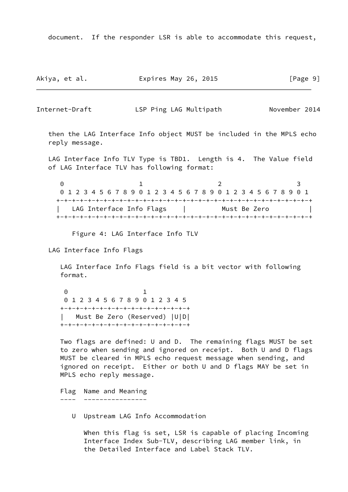document. If the responder LSR is able to accommodate this request,

Akiya, et al. **Expires May 26, 2015** [Page 9]

Internet-Draft LSP Ping LAG Multipath November 2014

 then the LAG Interface Info object MUST be included in the MPLS echo reply message.

 LAG Interface Info TLV Type is TBD1. Length is 4. The Value field of LAG Interface TLV has following format:

0 1 2 3 0 1 2 3 4 5 6 7 8 9 0 1 2 3 4 5 6 7 8 9 0 1 2 3 4 5 6 7 8 9 0 1 +-+-+-+-+-+-+-+-+-+-+-+-+-+-+-+-+-+-+-+-+-+-+-+-+-+-+-+-+-+-+-+-+ | LAG Interface Info Flags | Must Be Zero +-+-+-+-+-+-+-+-+-+-+-+-+-+-+-+-+-+-+-+-+-+-+-+-+-+-+-+-+-+-+-+-+

Figure 4: LAG Interface Info TLV

LAG Interface Info Flags

 LAG Interface Info Flags field is a bit vector with following format.

 0 1 0 1 2 3 4 5 6 7 8 9 0 1 2 3 4 5 +-+-+-+-+-+-+-+-+-+-+-+-+-+-+-+-+ | Must Be Zero (Reserved) |U|D| +-+-+-+-+-+-+-+-+-+-+-+-+-+-+-+-+

> Two flags are defined: U and D. The remaining flags MUST be set to zero when sending and ignored on receipt. Both U and D flags MUST be cleared in MPLS echo request message when sending, and ignored on receipt. Either or both U and D flags MAY be set in MPLS echo reply message.

 Flag Name and Meaning ---- ----------------

U Upstream LAG Info Accommodation

 When this flag is set, LSR is capable of placing Incoming Interface Index Sub-TLV, describing LAG member link, in the Detailed Interface and Label Stack TLV.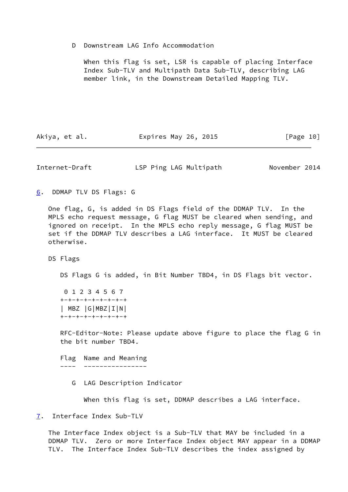D Downstream LAG Info Accommodation

 When this flag is set, LSR is capable of placing Interface Index Sub-TLV and Multipath Data Sub-TLV, describing LAG member link, in the Downstream Detailed Mapping TLV.

Akiya, et al. Expires May 26, 2015 [Page 10]

<span id="page-11-1"></span>Internet-Draft LSP Ping LAG Multipath November 2014

<span id="page-11-0"></span>[6](#page-11-0). DDMAP TLV DS Flags: G

 One flag, G, is added in DS Flags field of the DDMAP TLV. In the MPLS echo request message, G flag MUST be cleared when sending, and ignored on receipt. In the MPLS echo reply message, G flag MUST be set if the DDMAP TLV describes a LAG interface. It MUST be cleared otherwise.

DS Flags

DS Flags G is added, in Bit Number TBD4, in DS Flags bit vector.

 0 1 2 3 4 5 6 7 +-+-+-+-+-+-+-+-+ | MBZ |G|MBZ|I|N| +-+-+-+-+-+-+-+-+

 RFC-Editor-Note: Please update above figure to place the flag G in the bit number TBD4.

 Flag Name and Meaning ---- ----------------

G LAG Description Indicator

When this flag is set, DDMAP describes a LAG interface.

<span id="page-11-2"></span>[7](#page-11-2). Interface Index Sub-TLV

 The Interface Index object is a Sub-TLV that MAY be included in a DDMAP TLV. Zero or more Interface Index object MAY appear in a DDMAP TLV. The Interface Index Sub-TLV describes the index assigned by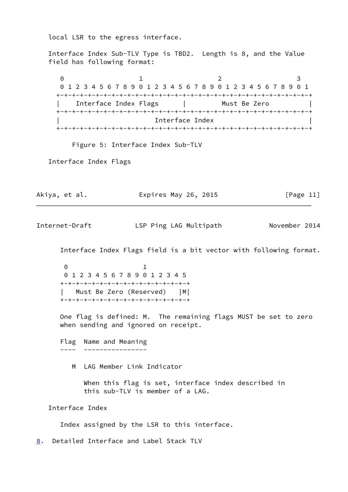local LSR to the egress interface.

 Interface Index Sub-TLV Type is TBD2. Length is 8, and the Value field has following format:

0 1 2 3 0 1 2 3 4 5 6 7 8 9 0 1 2 3 4 5 6 7 8 9 0 1 2 3 4 5 6 7 8 9 0 1 +-+-+-+-+-+-+-+-+-+-+-+-+-+-+-+-+-+-+-+-+-+-+-+-+-+-+-+-+-+-+-+-+ Interface Index Flags | Must Be Zero +-+-+-+-+-+-+-+-+-+-+-+-+-+-+-+-+-+-+-+-+-+-+-+-+-+-+-+-+-+-+-+-+ Interface Index +-+-+-+-+-+-+-+-+-+-+-+-+-+-+-+-+-+-+-+-+-+-+-+-+-+-+-+-+-+-+-+-+

Figure 5: Interface Index Sub-TLV

Interface Index Flags

Akiya, et al. Expires May 26, 2015 [Page 11]

<span id="page-12-1"></span>Internet-Draft LSP Ping LAG Multipath November 2014

Interface Index Flags field is a bit vector with following format.

 0 1 0 1 2 3 4 5 6 7 8 9 0 1 2 3 4 5 +-+-+-+-+-+-+-+-+-+-+-+-+-+-+-+-+ | Must Be Zero (Reserved) |M| +-+-+-+-+-+-+-+-+-+-+-+-+-+-+-+-+

> One flag is defined: M. The remaining flags MUST be set to zero when sending and ignored on receipt.

 Flag Name and Meaning ---- ----------------

M LAG Member Link Indicator

 When this flag is set, interface index described in this sub-TLV is member of a LAG.

Interface Index

Index assigned by the LSR to this interface.

<span id="page-12-0"></span>[8](#page-12-0). Detailed Interface and Label Stack TLV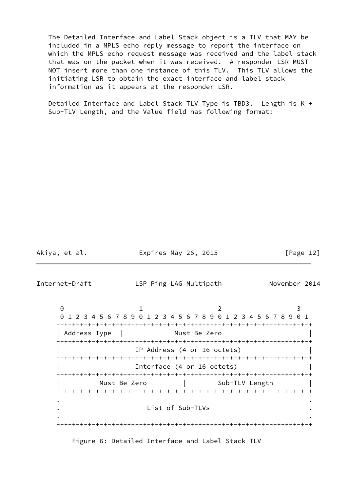The Detailed Interface and Label Stack object is a TLV that MAY be included in a MPLS echo reply message to report the interface on which the MPLS echo request message was received and the label stack that was on the packet when it was received. A responder LSR MUST NOT insert more than one instance of this TLV. This TLV allows the initiating LSR to obtain the exact interface and label stack information as it appears at the responder LSR.

 Detailed Interface and Label Stack TLV Type is TBD3. Length is K + Sub-TLV Length, and the Value field has following format:

Akiya, et al. Expires May 26, 2015 [Page 12]

Internet-Draft LSP Ping LAG Multipath November 2014

0 1 2 3 0 1 2 3 4 5 6 7 8 9 0 1 2 3 4 5 6 7 8 9 0 1 2 3 4 5 6 7 8 9 0 1 +-+-+-+-+-+-+-+-+-+-+-+-+-+-+-+-+-+-+-+-+-+-+-+-+-+-+-+-+-+-+-+-+ | Address Type | Must Be Zero +-+-+-+-+-+-+-+-+-+-+-+-+-+-+-+-+-+-+-+-+-+-+-+-+-+-+-+-+-+-+-+-+ IP Address (4 or 16 octets) +-+-+-+-+-+-+-+-+-+-+-+-+-+-+-+-+-+-+-+-+-+-+-+-+-+-+-+-+-+-+-+-+ Interface (4 or 16 octets) +-+-+-+-+-+-+-+-+-+-+-+-+-+-+-+-+-+-+-+-+-+-+-+-+-+-+-+-+-+-+-+-+ Must Be Zero | Sub-TLV Length +-+-+-+-+-+-+-+-+-+-+-+-+-+-+-+-+-+-+-+-+-+-+-+-+-+-+-+-+-+-+-+-+ . . . List of Sub-TLVs . . . +-+-+-+-+-+-+-+-+-+-+-+-+-+-+-+-+-+-+-+-+-+-+-+-+-+-+-+-+-+-+-+-+

Figure 6: Detailed Interface and Label Stack TLV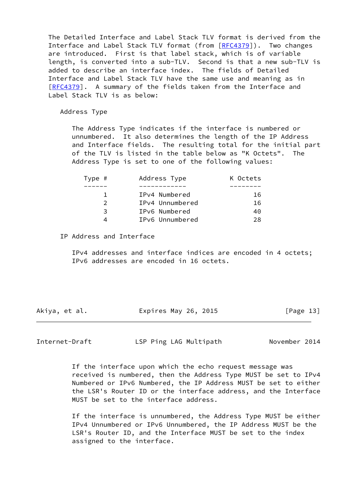The Detailed Interface and Label Stack TLV format is derived from the Interface and Label Stack TLV format (from  $[RECA379]$ ). Two changes are introduced. First is that label stack, which is of variable length, is converted into a sub-TLV. Second is that a new sub-TLV is added to describe an interface index. The fields of Detailed Interface and Label Stack TLV have the same use and meaning as in [\[RFC4379](https://datatracker.ietf.org/doc/pdf/rfc4379)]. A summary of the fields taken from the Interface and Label Stack TLV is as below:

Address Type

 The Address Type indicates if the interface is numbered or unnumbered. It also determines the length of the IP Address and Interface fields. The resulting total for the initial part of the TLV is listed in the table below as "K Octets". The Address Type is set to one of the following values:

| Type # | K Octets        |     |
|--------|-----------------|-----|
|        |                 |     |
|        | IPv4 Numbered   | 16  |
|        | IPv4 Unnumbered | 16  |
| 3      | IPv6 Numbered   | 40  |
| ⊿      | IPv6 Unnumbered | 28. |

IP Address and Interface

 IPv4 addresses and interface indices are encoded in 4 octets; IPv6 addresses are encoded in 16 octets.

| Akiya, et al. | Expires May 26, 2015 | [Page 13] |
|---------------|----------------------|-----------|
|---------------|----------------------|-----------|

<span id="page-14-0"></span>Internet-Draft LSP Ping LAG Multipath November 2014

 If the interface upon which the echo request message was received is numbered, then the Address Type MUST be set to IPv4 Numbered or IPv6 Numbered, the IP Address MUST be set to either the LSR's Router ID or the interface address, and the Interface MUST be set to the interface address.

 If the interface is unnumbered, the Address Type MUST be either IPv4 Unnumbered or IPv6 Unnumbered, the IP Address MUST be the LSR's Router ID, and the Interface MUST be set to the index assigned to the interface.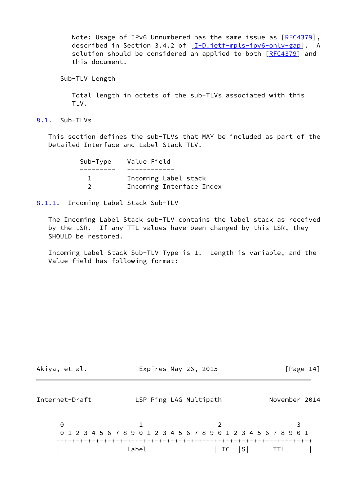Note: Usage of IPv6 Unnumbered has the same issue as [[RFC4379\]](https://datatracker.ietf.org/doc/pdf/rfc4379), described in Section 3.4.2 of [\[I-D.ietf-mpls-ipv6-only-gap](#page-19-5)]. A solution should be considered an applied to both [\[RFC4379](https://datatracker.ietf.org/doc/pdf/rfc4379)] and this document.

Sub-TLV Length

 Total length in octets of the sub-TLVs associated with this TLV.

<span id="page-15-0"></span>[8.1](#page-15-0). Sub-TLVs

 This section defines the sub-TLVs that MAY be included as part of the Detailed Interface and Label Stack TLV.

| Sub-Type Value Field     |
|--------------------------|
|                          |
| Incoming Label stack     |
| Incoming Interface Index |

<span id="page-15-1"></span>[8.1.1](#page-15-1). Incoming Label Stack Sub-TLV

 The Incoming Label Stack sub-TLV contains the label stack as received by the LSR. If any TTL values have been changed by this LSR, they SHOULD be restored.

 Incoming Label Stack Sub-TLV Type is 1. Length is variable, and the Value field has following format:

<span id="page-15-2"></span>

| Akiya, et al.  | Expires May 26, 2015   |                                                                 | [Page 14]     |
|----------------|------------------------|-----------------------------------------------------------------|---------------|
| Internet-Draft | LSP Ping LAG Multipath |                                                                 | November 2014 |
| $\Theta$       |                        | 0 1 2 3 4 5 6 7 8 9 0 1 2 3 4 5 6 7 8 9 0 1 2 3 4 5 6 7 8 9 0 1 |               |
|                | Label                  | TC S                                                            | <b>TTL</b>    |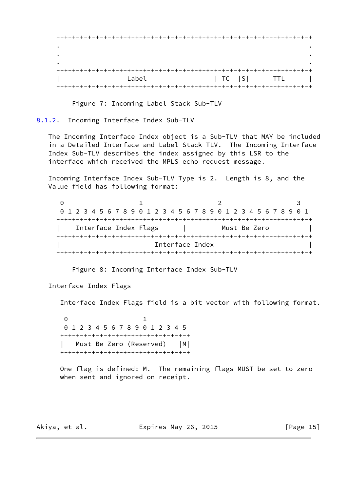+-+-+-+-+-+-+-+-+-+-+-+-+-+-+-+-+-+-+-+-+-+-+-+-+-+-+-+-+-+-+-+-+ . . . . . . +-+-+-+-+-+-+-+-+-+-+-+-+-+-+-+-+-+-+-+-+-+-+-+-+-+-+-+-+-+-+-+-+ Label | TC |S| TTL | +-+-+-+-+-+-+-+-+-+-+-+-+-+-+-+-+-+-+-+-+-+-+-+-+-+-+-+-+-+-+-+-+

Figure 7: Incoming Label Stack Sub-TLV

<span id="page-16-0"></span>[8.1.2](#page-16-0). Incoming Interface Index Sub-TLV

 The Incoming Interface Index object is a Sub-TLV that MAY be included in a Detailed Interface and Label Stack TLV. The Incoming Interface Index Sub-TLV describes the index assigned by this LSR to the interface which received the MPLS echo request message.

 Incoming Interface Index Sub-TLV Type is 2. Length is 8, and the Value field has following format:

0 1 2 3 0 1 2 3 4 5 6 7 8 9 0 1 2 3 4 5 6 7 8 9 0 1 2 3 4 5 6 7 8 9 0 1 +-+-+-+-+-+-+-+-+-+-+-+-+-+-+-+-+-+-+-+-+-+-+-+-+-+-+-+-+-+-+-+-+ Interface Index Flags | Must Be Zero +-+-+-+-+-+-+-+-+-+-+-+-+-+-+-+-+-+-+-+-+-+-+-+-+-+-+-+-+-+-+-+-+ Interface Index +-+-+-+-+-+-+-+-+-+-+-+-+-+-+-+-+-+-+-+-+-+-+-+-+-+-+-+-+-+-+-+-+

Figure 8: Incoming Interface Index Sub-TLV

Interface Index Flags

Interface Index Flags field is a bit vector with following format.

 0 1 0 1 2 3 4 5 6 7 8 9 0 1 2 3 4 5 +-+-+-+-+-+-+-+-+-+-+-+-+-+-+-+-+ | Must Be Zero (Reserved) |M| +-+-+-+-+-+-+-+-+-+-+-+-+-+-+-+-+

> One flag is defined: M. The remaining flags MUST be set to zero when sent and ignored on receipt.

Akiya, et al. Expires May 26, 2015 [Page 15]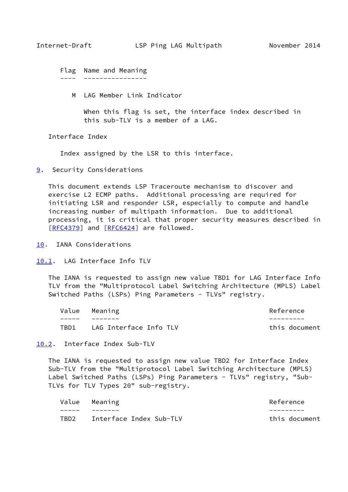<span id="page-17-1"></span> Flag Name and Meaning ---- ----------------

M LAG Member Link Indicator

 When this flag is set, the interface index described in this sub-TLV is a member of a LAG.

Interface Index

Index assigned by the LSR to this interface.

<span id="page-17-0"></span>[9](#page-17-0). Security Considerations

 This document extends LSP Traceroute mechanism to discover and exercise L2 ECMP paths. Additional processing are required for initiating LSR and responder LSR, especially to compute and handle increasing number of multipath information. Due to additional processing, it is critical that proper security measures described in [\[RFC4379](https://datatracker.ietf.org/doc/pdf/rfc4379)] and [[RFC6424](https://datatracker.ietf.org/doc/pdf/rfc6424)] are followed.

- <span id="page-17-2"></span>[10.](#page-17-2) IANA Considerations
- <span id="page-17-3"></span>[10.1](#page-17-3). LAG Interface Info TLV

 The IANA is requested to assign new value TBD1 for LAG Interface Info TLV from the "Multiprotocol Label Switching Architecture (MPLS) Label Switched Paths (LSPs) Ping Parameters - TLVs" registry.

|      | Value Meaning          | Reference     |
|------|------------------------|---------------|
|      |                        |               |
| TBD1 | LAG Interface Info TLV | this document |

<span id="page-17-4"></span>[10.2](#page-17-4). Interface Index Sub-TLV

 The IANA is requested to assign new value TBD2 for Interface Index Sub-TLV from the "Multiprotocol Label Switching Architecture (MPLS) Label Switched Paths (LSPs) Ping Parameters - TLVs" registry, "Sub-TLVs for TLV Types 20" sub-registry.

|      | Value Meaning           | Reference     |
|------|-------------------------|---------------|
|      |                         |               |
| TBD2 | Interface Index Sub-TLV | this document |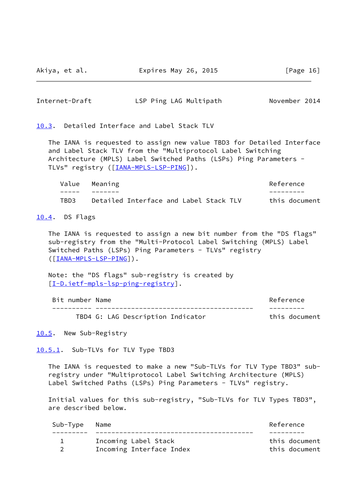Akiya, et al. Expires May 26, 2015 [Page 16]

<span id="page-18-1"></span>

| Internet-Draft | LSP Ping LAG Multipath | November 2014 |  |
|----------------|------------------------|---------------|--|
|                |                        |               |  |

<span id="page-18-0"></span>[10.3](#page-18-0). Detailed Interface and Label Stack TLV

 The IANA is requested to assign new value TBD3 for Detailed Interface and Label Stack TLV from the "Multiprotocol Label Switching Architecture (MPLS) Label Switched Paths (LSPs) Ping Parameters - TLVs" registry ([\[IANA-MPLS-LSP-PING\]](#page-20-5)).

|      | Value Meaning                          | Reference     |
|------|----------------------------------------|---------------|
|      |                                        |               |
| TBD3 | Detailed Interface and Label Stack TLV | this document |

<span id="page-18-2"></span>[10.4](#page-18-2). DS Flags

 The IANA is requested to assign a new bit number from the "DS flags" sub-registry from the "Multi-Protocol Label Switching (MPLS) Label Switched Paths (LSPs) Ping Parameters - TLVs" registry ([\[IANA-MPLS-LSP-PING\]](#page-20-5)).

 Note: the "DS flags" sub-registry is created by [\[I-D.ietf-mpls-lsp-ping-registry](#page-19-6)].

| Bit number Name |                                   | Reference     |
|-----------------|-----------------------------------|---------------|
|                 |                                   |               |
|                 | TBD4 G: LAG Description Indicator | this document |

<span id="page-18-3"></span>[10.5](#page-18-3). New Sub-Registry

<span id="page-18-4"></span>[10.5.1](#page-18-4). Sub-TLVs for TLV Type TBD3

 The IANA is requested to make a new "Sub-TLVs for TLV Type TBD3" sub registry under "Multiprotocol Label Switching Architecture (MPLS) Label Switched Paths (LSPs) Ping Parameters - TLVs" registry.

 Initial values for this sub-registry, "Sub-TLVs for TLV Types TBD3", are described below.

| Sub-Type | Name                     | Reference     |
|----------|--------------------------|---------------|
|          |                          |               |
|          | Incoming Label Stack     | this document |
|          | Incoming Interface Index | this document |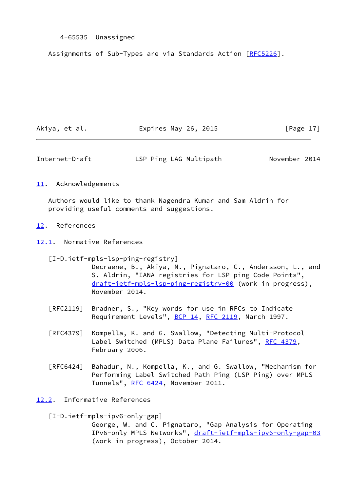### 4-65535 Unassigned

Assignments of Sub-Types are via Standards Action [[RFC5226](https://datatracker.ietf.org/doc/pdf/rfc5226)].

| Akiya, et al. | Expires May 26, 2015 | [Page 17] |
|---------------|----------------------|-----------|
|               |                      |           |

<span id="page-19-1"></span>Internet-Draft LSP Ping LAG Multipath November 2014

### <span id="page-19-0"></span>[11.](#page-19-0) Acknowledgements

 Authors would like to thank Nagendra Kumar and Sam Aldrin for providing useful comments and suggestions.

### <span id="page-19-2"></span>[12.](#page-19-2) References

<span id="page-19-3"></span>[12.1](#page-19-3). Normative References

<span id="page-19-6"></span> [I-D.ietf-mpls-lsp-ping-registry] Decraene, B., Akiya, N., Pignataro, C., Andersson, L., and S. Aldrin, "IANA registries for LSP ping Code Points", [draft-ietf-mpls-lsp-ping-registry-00](https://datatracker.ietf.org/doc/pdf/draft-ietf-mpls-lsp-ping-registry-00) (work in progress), November 2014.

- [RFC2119] Bradner, S., "Key words for use in RFCs to Indicate Requirement Levels", [BCP 14](https://datatracker.ietf.org/doc/pdf/bcp14), [RFC 2119](https://datatracker.ietf.org/doc/pdf/rfc2119), March 1997.
- [RFC4379] Kompella, K. and G. Swallow, "Detecting Multi-Protocol Label Switched (MPLS) Data Plane Failures", [RFC 4379,](https://datatracker.ietf.org/doc/pdf/rfc4379) February 2006.
- [RFC6424] Bahadur, N., Kompella, K., and G. Swallow, "Mechanism for Performing Label Switched Path Ping (LSP Ping) over MPLS Tunnels", [RFC 6424](https://datatracker.ietf.org/doc/pdf/rfc6424), November 2011.
- <span id="page-19-5"></span><span id="page-19-4"></span>[12.2](#page-19-4). Informative References
	- [I-D.ietf-mpls-ipv6-only-gap] George, W. and C. Pignataro, "Gap Analysis for Operating IPv6-only MPLS Networks", [draft-ietf-mpls-ipv6-only-gap-03](https://datatracker.ietf.org/doc/pdf/draft-ietf-mpls-ipv6-only-gap-03) (work in progress), October 2014.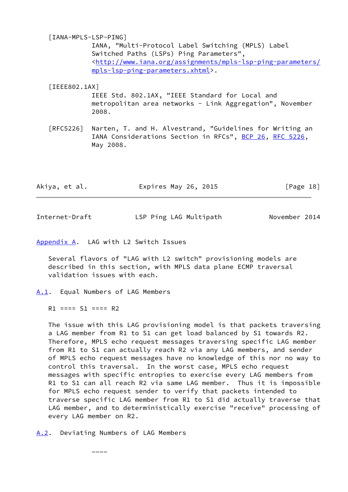<span id="page-20-5"></span> [IANA-MPLS-LSP-PING] IANA, "Multi-Protocol Label Switching (MPLS) Label Switched Paths (LSPs) Ping Parameters", <[http://www.iana.org/assignments/mpls-lsp-ping-parameters/](http://www.iana.org/assignments/mpls-lsp-ping-parameters/mpls-lsp-ping-parameters.xhtml) [mpls-lsp-ping-parameters.xhtml](http://www.iana.org/assignments/mpls-lsp-ping-parameters/mpls-lsp-ping-parameters.xhtml)>.

## <span id="page-20-4"></span> [IEEE802.1AX] IEEE Std. 802.1AX, "IEEE Standard for Local and metropolitan area networks - Link Aggregation", November 2008.

 [RFC5226] Narten, T. and H. Alvestrand, "Guidelines for Writing an IANA Considerations Section in RFCs", [BCP 26](https://datatracker.ietf.org/doc/pdf/bcp26), [RFC 5226](https://datatracker.ietf.org/doc/pdf/rfc5226), May 2008.

| Akiya, et al. | Expires May 26, 2015 | [Page 18] |
|---------------|----------------------|-----------|
|               |                      |           |

<span id="page-20-1"></span>Internet-Draft LSP Ping LAG Multipath November 2014

<span id="page-20-0"></span>[Appendix A.](#page-20-0) LAG with L2 Switch Issues

 Several flavors of "LAG with L2 switch" provisioning models are described in this section, with MPLS data plane ECMP traversal validation issues with each.

<span id="page-20-2"></span>[A.1](#page-20-2). Equal Numbers of LAG Members

 $R1$  ====  $S1$  ====  $R2$ 

 The issue with this LAG provisioning model is that packets traversing a LAG member from R1 to S1 can get load balanced by S1 towards R2. Therefore, MPLS echo request messages traversing specific LAG member from R1 to S1 can actually reach R2 via any LAG members, and sender of MPLS echo request messages have no knowledge of this nor no way to control this traversal. In the worst case, MPLS echo request messages with specific entropies to exercise every LAG members from R1 to S1 can all reach R2 via same LAG member. Thus it is impossible for MPLS echo request sender to verify that packets intended to traverse specific LAG member from R1 to S1 did actually traverse that LAG member, and to deterministically exercise "receive" processing of every LAG member on R2.

<span id="page-20-3"></span>[A.2](#page-20-3). Deviating Numbers of LAG Members

 $\mathcal{L}=\mathcal{L}$  and  $\mathcal{L}=\mathcal{L}=\mathcal{L}$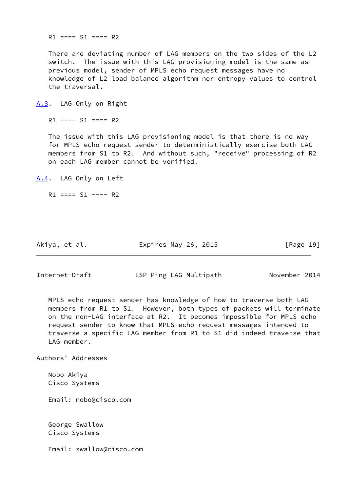$R1$  ====  $S1$  ====  $R2$ 

 There are deviating number of LAG members on the two sides of the L2 switch. The issue with this LAG provisioning model is the same as previous model, sender of MPLS echo request messages have no knowledge of L2 load balance algorithm nor entropy values to control the traversal.

<span id="page-21-0"></span>[A.3](#page-21-0). LAG Only on Right

 $R1$  ----  $S1$  ====  $R2$ 

 The issue with this LAG provisioning model is that there is no way for MPLS echo request sender to deterministically exercise both LAG members from S1 to R2. And without such, "receive" processing of R2 on each LAG member cannot be verified.

<span id="page-21-1"></span>[A.4](#page-21-1). LAG Only on Left

 $R1 == = S1 --- R2$ 

Akiya, et al. Expires May 26, 2015 [Page 19]

<span id="page-21-2"></span>Internet-Draft LSP Ping LAG Multipath November 2014

 MPLS echo request sender has knowledge of how to traverse both LAG members from R1 to S1. However, both types of packets will terminate on the non-LAG interface at R2. It becomes impossible for MPLS echo request sender to know that MPLS echo request messages intended to traverse a specific LAG member from R1 to S1 did indeed traverse that LAG member.

Authors' Addresses

 Nobo Akiya Cisco Systems

Email: nobo@cisco.com

 George Swallow Cisco Systems

Email: swallow@cisco.com